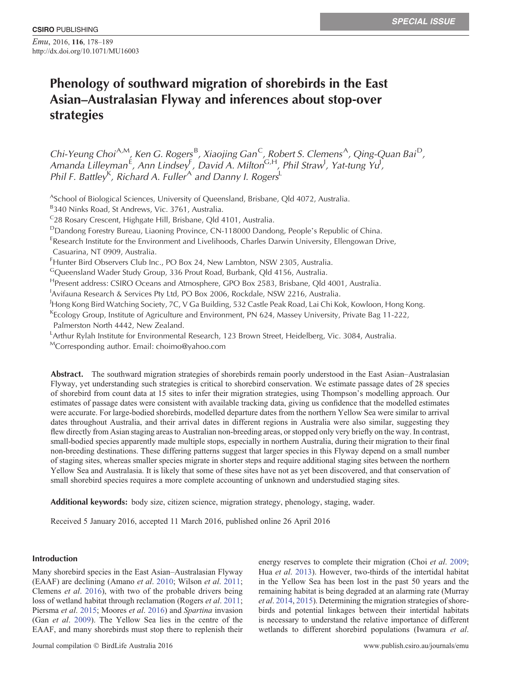*Emu*, 2016, **116**, 178–189 http://dx.doi.org/10.1071/MU16003

# **Phenology of southward migration of shorebirds in the East Asian–Australasian Flyway and inferences about stop-over strategies**

Chi-Yeung Choi<sup>A,M</sup>, Ken G. Rogers<sup>B</sup>, Xiaojing Gan<sup>C</sup>, Robert S. Clemens<sup>A</sup>, Qing-Quan Bai<sup>D</sup>, *Amanda Lilleyman*<sup>E</sup> *, Ann Lindsey*<sup>F</sup> *, David A. Milton*G*,*H*, Phil Straw*<sup>I</sup> *, Yat-tung Yu*<sup>J</sup> *, Phil F. Battley<sup>K</sup>, Richard A. Fuller<sup>A</sup> and Danny I. Rogers<sup>L</sup>* 

<sup>A</sup>School of Biological Sciences, University of Oueensland, Brisbane, Old 4072, Australia.

<sup>B</sup>340 Ninks Road, St Andrews, Vic. 3761, Australia.

<sup>C</sup>28 Rosary Crescent, Highgate Hill, Brisbane, Qld 4101, Australia.

 $D$ Dandong Forestry Bureau, Liaoning Province, CN-118000 Dandong, People's Republic of China.

<sup>E</sup>Research Institute for the Environment and Livelihoods, Charles Darwin University, Ellengowan Drive, Casuarina, NT 0909, Australia.

F Hunter Bird Observers Club Inc., PO Box 24, New Lambton, NSW 2305, Australia.

GQueensland Wader Study Group, 336 Prout Road, Burbank, Qld 4156, Australia.

HPresent address: CSIRO Oceans and Atmosphere, GPO Box 2583, Brisbane, Qld 4001, Australia.

I Avifauna Research & Services Pty Ltd, PO Box 2006, Rockdale, NSW 2216, Australia.

<sup>J</sup>Hong Kong Bird Watching Society, 7C, V Ga Building, 532 Castle Peak Road, Lai Chi Kok, Kowloon, Hong Kong.

<sup>K</sup>Ecology Group, Institute of Agriculture and Environment, PN 624, Massey University, Private Bag 11-222, Palmerston North 4442, New Zealand.

<sup>L</sup>Arthur Rylah Institute for Environmental Research, 123 Brown Street, Heidelberg, Vic. 3084, Australia.

<sup>M</sup>Corresponding author. Email: [choimo@yahoo.com](mailto:choimo@yahoo.com)

**Abstract.** The southward migration strategies of shorebirds remain poorly understood in the East Asian–Australasian Flyway, yet understanding such strategies is critical to shorebird conservation. We estimate passage dates of 28 species of shorebird from count data at 15 sites to infer their migration strategies, using Thompson's modelling approach. Our estimates of passage dates were consistent with available tracking data, giving us confidence that the modelled estimates were accurate. For large-bodied shorebirds, modelled departure dates from the northern Yellow Sea were similar to arrival dates throughout Australia, and their arrival dates in different regions in Australia were also similar, suggesting they flew directly from Asian staging areas to Australian non-breeding areas, or stopped only very briefly on the way. In contrast, small-bodied species apparently made multiple stops, especially in northern Australia, during their migration to their final non-breeding destinations. These differing patterns suggest that larger species in this Flyway depend on a small number of staging sites, whereas smaller species migrate in shorter steps and require additional staging sites between the northern Yellow Sea and Australasia. It is likely that some of these sites have not as yet been discovered, and that conservation of small shorebird species requires a more complete accounting of unknown and understudied staging sites.

**Additional keywords:** body size, citizen science, migration strategy, phenology, staging, wader.

Received 5 January 2016, accepted 11 March 2016, published online 26 April 2016

## **Introduction**

Many shorebird species in the East Asian–Australasian Flyway (EAAF) are declining (Amano *et al*. [2010;](#page-9-0) Wilson *et al*. [2011](#page-11-0); Clemens *et al*. [2016\)](#page-10-0), with two of the probable drivers being loss of wetland habitat through reclamation (Rogers *et al*. [2011](#page-11-0); Piersma *et al*. [2015;](#page-11-0) Moores *et al*. [2016](#page-10-0)) and *Spartina* invasion (Gan *et al*. [2009](#page-10-0)). The Yellow Sea lies in the centre of the EAAF, and many shorebirds must stop there to replenish their

energy reserves to complete their migration (Choi *et al*. [2009](#page-10-0); Hua *et al*. [2013\)](#page-10-0). However, two-thirds of the intertidal habitat in the Yellow Sea has been lost in the past 50 years and the remaining habitat is being degraded at an alarming rate (Murray *et al*. [2014,](#page-10-0) [2015\)](#page-10-0). Determining the migration strategies of shorebirds and potential linkages between their intertidal habitats is necessary to understand the relative importance of different wetlands to different shorebird populations (Iwamura *et al*.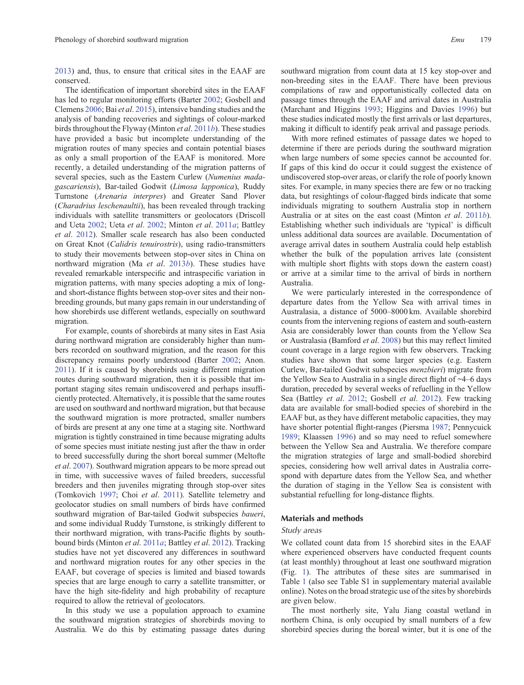[2013](#page-10-0)) and, thus, to ensure that critical sites in the EAAF are conserved.

The identification of important shorebird sites in the EAAF has led to regular monitoring efforts (Barter [2002;](#page-9-0) Gosbell and Clemens [2006;](#page-10-0) Bai *et al*. [2015\)](#page-9-0), intensive banding studies and the analysis of banding recoveries and sightings of colour-marked birds throughout the Flyway (Minton *et al*. [2011](#page-10-0)*b*). These studies have provided a basic but incomplete understanding of the migration routes of many species and contain potential biases as only a small proportion of the EAAF is monitored. More recently, a detailed understanding of the migration patterns of several species, such as the Eastern Curlew (*Numenius madagascariensis*), Bar-tailed Godwit (*Limosa lapponica*), Ruddy Turnstone (*Arenaria interpres*) and Greater Sand Plover (*Charadrius leschenaultii*), has been revealed through tracking individuals with satellite transmitters or geolocators (Driscoll and Ueta [2002;](#page-10-0) Ueta *et al*. [2002](#page-11-0); Minton *et al*. [2011](#page-10-0)*a*; Battley *et al*. [2012\)](#page-9-0). Smaller scale research has also been conducted on Great Knot (*Calidris tenuirostris*), using radio-transmitters to study their movements between stop-over sites in China on northward migration (Ma *et al*. [2013](#page-10-0)*b*). These studies have revealed remarkable interspecific and intraspecific variation in migration patterns, with many species adopting a mix of longand short-distance flights between stop-over sites and their nonbreeding grounds, but many gaps remain in our understanding of how shorebirds use different wetlands, especially on southward migration.

For example, counts of shorebirds at many sites in East Asia during northward migration are considerably higher than numbers recorded on southward migration, and the reason for this discrepancy remains poorly understood (Barter [2002;](#page-9-0) Anon. [2011](#page-9-0)). If it is caused by shorebirds using different migration routes during southward migration, then it is possible that important staging sites remain undiscovered and perhaps insufficiently protected. Alternatively, it is possible that the same routes are used on southward and northward migration, but that because the southward migration is more protracted, smaller numbers of birds are present at any one time at a staging site. Northward migration is tightly constrained in time because migrating adults of some species must initiate nesting just after the thaw in order to breed successfully during the short boreal summer (Meltofte *et al*. [2007\)](#page-10-0). Southward migration appears to be more spread out in time, with successive waves of failed breeders, successful breeders and then juveniles migrating through stop-over sites (Tomkovich [1997;](#page-11-0) Choi *et al*. [2011](#page-10-0)). Satellite telemetry and geolocator studies on small numbers of birds have confirmed southward migration of Bar-tailed Godwit subspecies *baueri*, and some individual Ruddy Turnstone, is strikingly different to their northward migration, with trans-Pacific flights by southbound birds (Minton *et al*. [2011](#page-10-0)*a*; Battley *et al*. [2012](#page-9-0)). Tracking studies have not yet discovered any differences in southward and northward migration routes for any other species in the EAAF, but coverage of species is limited and biased towards species that are large enough to carry a satellite transmitter, or have the high site-fidelity and high probability of recapture required to allow the retrieval of geolocators.

In this study we use a population approach to examine the southward migration strategies of shorebirds moving to Australia. We do this by estimating passage dates during

southward migration from count data at 15 key stop-over and non-breeding sites in the EAAF. There have been previous compilations of raw and opportunistically collected data on passage times through the EAAF and arrival dates in Australia (Marchant and Higgins [1993;](#page-10-0) Higgins and Davies [1996](#page-10-0)) but these studies indicated mostly the first arrivals or last departures, making it difficult to identify peak arrival and passage periods.

With more refined estimates of passage dates we hoped to determine if there are periods during the southward migration when large numbers of some species cannot be accounted for. If gaps of this kind do occur it could suggest the existence of undiscovered stop-over areas, or clarify the role of poorly known sites. For example, in many species there are few or no tracking data, but resightings of colour-flagged birds indicate that some individuals migrating to southern Australia stop in northern Australia or at sites on the east coast (Minton *et al*. [2011](#page-10-0)*b*). Establishing whether such individuals are 'typical' is difficult unless additional data sources are available. Documentation of average arrival dates in southern Australia could help establish whether the bulk of the population arrives late (consistent with multiple short flights with stops down the eastern coast) or arrive at a similar time to the arrival of birds in northern Australia.

We were particularly interested in the correspondence of departure dates from the Yellow Sea with arrival times in Australasia, a distance of 5000–8000 km. Available shorebird counts from the intervening regions of eastern and south-eastern Asia are considerably lower than counts from the Yellow Sea or Australasia (Bamford *et al*. [2008](#page-9-0)) but this may reflect limited count coverage in a large region with few observers. Tracking studies have shown that some larger species (e.g. Eastern Curlew, Bar-tailed Godwit subspecies *menzbieri*) migrate from the Yellow Sea to Australia in a single direct flight of ~4–6 days duration, preceded by several weeks of refuelling in the Yellow Sea (Battley *et al*. [2012;](#page-9-0) Gosbell *et al*. [2012](#page-10-0)). Few tracking data are available for small-bodied species of shorebird in the EAAF but, as they have different metabolic capacities, they may have shorter potential flight-ranges (Piersma [1987](#page-11-0); Pennycuick [1989](#page-10-0); Klaassen [1996](#page-10-0)) and so may need to refuel somewhere between the Yellow Sea and Australia. We therefore compare the migration strategies of large and small-bodied shorebird species, considering how well arrival dates in Australia correspond with departure dates from the Yellow Sea, and whether the duration of staging in the Yellow Sea is consistent with substantial refuelling for long-distance flights.

## **Materials and methods**

#### *Study areas*

We collated count data from 15 shorebird sites in the EAAF where experienced observers have conducted frequent counts (at least monthly) throughout at least one southward migration (Fig. [1](#page-2-0)). The attributes of these sites are summarised in Table [1](#page-3-0) (also see Table S1 in supplementary material available online). Notes on the broad strategic use of the sites by shorebirds are given below.

The most northerly site, Yalu Jiang coastal wetland in northern China, is only occupied by small numbers of a few shorebird species during the boreal winter, but it is one of the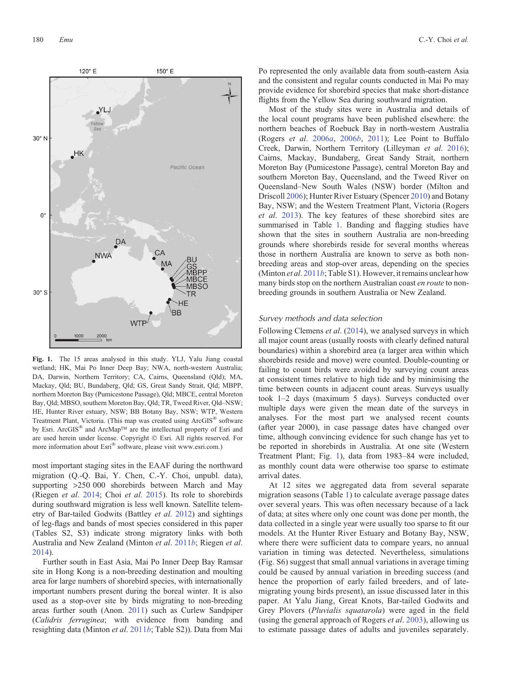<span id="page-2-0"></span>

**Fig. 1.** The 15 areas analysed in this study. YLJ, Yalu Jiang coastal wetland; HK, Mai Po Inner Deep Bay; NWA, north-western Australia; DA, Darwin, Northern Territory; CA, Cairns, Queensland (Qld); MA, Mackay, Qld; BU, Bundaberg, Qld; GS, Great Sandy Strait, Qld; MBPP, northern Moreton Bay (Pumicestone Passage), Qld; MBCE, central Moreton Bay, Qld; MBSO, southern Moreton Bay, Qld; TR, Tweed River, Qld–NSW; HE, Hunter River estuary, NSW; BB Botany Bay, NSW; WTP, Western Treatment Plant, Victoria. (This map was created using ArcGIS® software by Esri. ArcGIS<sup>®</sup> and ArcMap<sup>TM</sup> are the intellectual property of Esri and are used herein under license. Copyright © Esri. All rights reserved. For more information about Esri® software, please visit [www.esri.com](http://www.esri.com).)

most important staging sites in the EAAF during the northward migration (Q.-Q. Bai, Y. Chen, C.-Y. Choi, unpubl. data), supporting >250 000 shorebirds between March and May (Riegen *et al*. [2014](#page-11-0); Choi *et al*. [2015\)](#page-10-0). Its role to shorebirds during southward migration is less well known. Satellite telemetry of Bar-tailed Godwits (Battley *et al*. [2012](#page-9-0)) and sightings of leg-flags and bands of most species considered in this paper (Tables S2, S3) indicate strong migratory links with both Australia and New Zealand (Minton *et al*. [2011](#page-10-0)*b*; Riegen *et al*. [2014\)](#page-11-0).

Further south in East Asia, Mai Po Inner Deep Bay Ramsar site in Hong Kong is a non-breeding destination and moulting area for large numbers of shorebird species, with internationally important numbers present during the boreal winter. It is also used as a stop-over site by birds migrating to non-breeding areas further south (Anon. [2011\)](#page-9-0) such as Curlew Sandpiper (*Calidris ferruginea*; with evidence from banding and resighting data (Minton *et al*. [2011](#page-10-0)*b*; Table S2)). Data from Mai Po represented the only available data from south-eastern Asia and the consistent and regular counts conducted in Mai Po may provide evidence for shorebird species that make short-distance flights from the Yellow Sea during southward migration.

Most of the study sites were in Australia and details of the local count programs have been published elsewhere: the northern beaches of Roebuck Bay in north-western Australia (Rogers *et al*. [2006](#page-11-0)*a*, [2006](#page-11-0)*b*, [2011\)](#page-11-0); Lee Point to Buffalo Creek, Darwin, Northern Territory (Lilleyman *et al*. [2016](#page-10-0)); Cairns, Mackay, Bundaberg, Great Sandy Strait, northern Moreton Bay (Pumicestone Passage), central Moreton Bay and southern Moreton Bay, Queensland, and the Tweed River on Queensland–New South Wales (NSW) border (Milton and Driscoll [2006](#page-10-0)); Hunter River Estuary (Spencer [2010\)](#page-11-0) and Botany Bay, NSW; and the Western Treatment Plant, Victoria (Rogers *et al*. [2013](#page-11-0)). The key features of these shorebird sites are summarised in Table [1.](#page-3-0) Banding and flagging studies have shown that the sites in southern Australia are non-breeding grounds where shorebirds reside for several months whereas those in northern Australia are known to serve as both nonbreeding areas and stop-over areas, depending on the species (Minton *et al*. [2011](#page-10-0)*b*; Table S1). However, it remains unclear how many birds stop on the northern Australian coast *en route* to nonbreeding grounds in southern Australia or New Zealand.

#### *Survey methods and data selection*

Following Clemens *et al*. [\(2014](#page-10-0)), we analysed surveys in which all major count areas (usually roosts with clearly defined natural boundaries) within a shorebird area (a larger area within which shorebirds reside and move) were counted. Double-counting or failing to count birds were avoided by surveying count areas at consistent times relative to high tide and by minimising the time between counts in adjacent count areas. Surveys usually took 1–2 days (maximum 5 days). Surveys conducted over multiple days were given the mean date of the surveys in analyses. For the most part we analysed recent counts (after year 2000), in case passage dates have changed over time, although convincing evidence for such change has yet to be reported in shorebirds in Australia. At one site (Western Treatment Plant; Fig. 1), data from 1983–84 were included, as monthly count data were otherwise too sparse to estimate arrival dates.

At 12 sites we aggregated data from several separate migration seasons (Table [1](#page-3-0)) to calculate average passage dates over several years. This was often necessary because of a lack of data; at sites where only one count was done per month, the data collected in a single year were usually too sparse to fit our models. At the Hunter River Estuary and Botany Bay, NSW, where there were sufficient data to compare years, no annual variation in timing was detected. Nevertheless, simulations (Fig. S6) suggest that small annual variations in average timing could be caused by annual variation in breeding success (and hence the proportion of early failed breeders, and of latemigrating young birds present), an issue discussed later in this paper. At Yalu Jiang, Great Knots, Bar-tailed Godwits and Grey Plovers (*Pluvialis squatarola*) were aged in the field (using the general approach of Rogers *et al*. [2003](#page-11-0)), allowing us to estimate passage dates of adults and juveniles separately.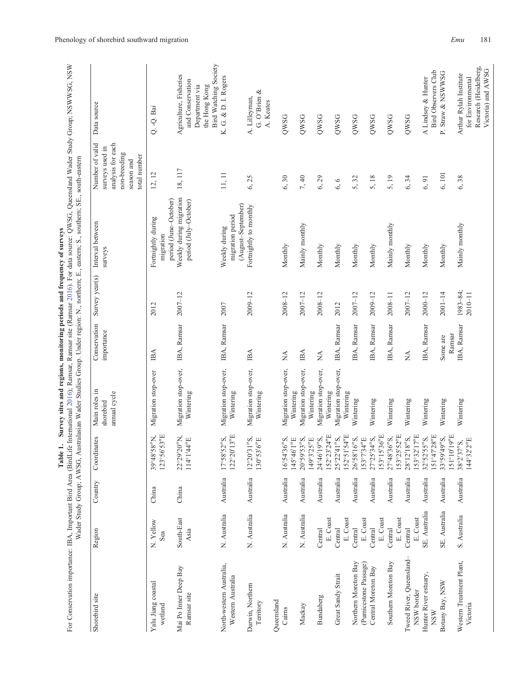<span id="page-3-0"></span>

| i<br>S<br><b>TAN A</b><br><b>To The Laments</b> | $\frac{1}{2}$<br>$C_{4}, A_{2}, C_{4}, \ldots, A_{n}$<br>$\ddot{\phantom{a}}$<br>$\frac{1}{2}$<br>; ); ;<br>C Curc<br>$\mathcal{S}$ . The main section of $\mathcal{S}$<br>o (Domana Ji | $F_{\rm corr}$ couth eacters<br>Australacian Wader Chida Create II na region NI na destación Paccham S conthamn SH |
|-------------------------------------------------|-----------------------------------------------------------------------------------------------------------------------------------------------------------------------------------------|--------------------------------------------------------------------------------------------------------------------|
| ble 1. Survey sites and regions, monitorin      | ll ifa Intarnati<br>i                                                                                                                                                                   |                                                                                                                    |

|                                                   |                           | Wader Study Group; AWSG, |                                                                   |                                            |                            |                         | Australasian Wader Studies Group. Under region: N., northern; E., eastern; S., southern; SE, south-eastern |                                                                                                       |                                                                                                        |
|---------------------------------------------------|---------------------------|--------------------------|-------------------------------------------------------------------|--------------------------------------------|----------------------------|-------------------------|------------------------------------------------------------------------------------------------------------|-------------------------------------------------------------------------------------------------------|--------------------------------------------------------------------------------------------------------|
| Shorebird site                                    | Region                    | Country                  | Coordinates                                                       | Main roles in<br>annual cycle<br>shorebird | Conservation<br>importance | Survey year(s)          | Interval between<br>surveys                                                                                | analysis for each<br>Number of valid<br>surveys used in<br>non-breeding<br>total number<br>season and | Data source                                                                                            |
| Yalu Jiang coastal<br>wetland                     | N. Yellow<br>Sea          | China                    | 123°56'53"E<br>39°48'58"N,                                        | Migration stop-over                        | BA                         | 2012                    | period (June-October)<br>Fortnightly during<br>migration                                                   | 12, 12                                                                                                | Q. -Q. Bai                                                                                             |
| Mai Po Imer Deep Bay<br>Ramsar site               | South-East<br>Asia        | China                    | $\frac{22^{\circ}29'20''\mathrm{N}}{114^{\circ}1'44''\mathrm{E}}$ | Migration stop-over,<br>Wintering          | IBA, Ramsar                | $2007 - 12$             | Weekly during migration<br>period (July-October)                                                           | 18, 117                                                                                               | Bird Watching Society<br>Agriculture, Fisheries<br>and Conservation<br>the Hong Kong<br>Department via |
| North-western Australia,<br>Western Australia     | N. Australia              | Australia                | $122^{\circ}20'13''E$<br>17°58′52″S,                              | Migration stop-over,<br>Wintering          | IBA, Ramsar                | <b>2007</b>             | (August-September)<br>migration period<br>Weekly during                                                    | $11, 11$                                                                                              | K. G. & D. I. Rogers                                                                                   |
| Darwin, Northern<br>Territory                     | N. Australia              | Australia                | $12^{\circ}20'31''S,$<br>130°53'6"E                               | Migration stop-over,<br>Wintering          | $\mathbb{B}\mathbb{A}$     | $2009 - 12$             | Fortnightly to monthly                                                                                     | 6,25                                                                                                  | G. O'Brien &<br>A. Lilleyman,<br>A. Keates                                                             |
| Queensland                                        |                           |                          |                                                                   |                                            |                            |                         |                                                                                                            |                                                                                                       |                                                                                                        |
| Cairns                                            | N. Australia              | Australia                | $16^{\circ}54'36''$ S,<br>145°46'1"E                              | Migration stop-over,<br>Wintering          | $\lesssim$                 | $2008 - 12$             | Monthly                                                                                                    | 6,30                                                                                                  | QWSG                                                                                                   |
| Mackay                                            | N. Australia              | Australia                | 20°59′53″S,<br>149°3'25"E                                         | Migration stop-over,<br>Wintering          | $_{\rm IBA}$               | $2007 - 12$             | Mainly monthly                                                                                             | 7,40                                                                                                  | OWSG                                                                                                   |
| Bundaberg                                         | E. Coast<br>Central       | Australia                | $152^{\circ}23'24''E$<br>24°46' 19" S,                            | Migration stop-over,<br>Wintering          | $\lessapprox$              | $2008 - 12$             | Monthly                                                                                                    | 6,29                                                                                                  | QWSG                                                                                                   |
| Great Sandy Strait                                | E. Coast<br>Central       | Australia                | $152^{\circ}51'54''E$<br>25°22'41"S,                              | Migration stop-over,<br>Wintering          | IBA, Ramsar                | 2012                    | Monthly                                                                                                    | 6,6                                                                                                   | QWSG                                                                                                   |
| Northern Moreton Bay<br>(Pumicestone Passage)     | E. Coast<br>Central       | Australia                | 26°58'16"S,<br>153°7'34"E                                         | Wintering                                  | IBA, Ramsar                | $2007 - 12$             | Monthly                                                                                                    | 5,32                                                                                                  | QWSG                                                                                                   |
| Central Moreton Bay                               | Central                   | Australia                | $27^{\circ}25'34''S,$                                             | Wintering                                  | IBA, Ramsar                | $2009 - 12$             | Monthly                                                                                                    | 5, 18                                                                                                 | QWSG                                                                                                   |
| Southern Moreton Bay                              | E. Coast<br>Central       | Australia                | 153°15'36"E<br>$27^{\circ}48'36''S$ ,                             | Wintering                                  | IBA, Ramsar                | $2008 - 11$             | Mainly monthly                                                                                             | 5, 19                                                                                                 | QWSG                                                                                                   |
| Tweed River, Queensland-                          | E. Coast<br>Central       | Australia                | 153°25'52"E<br>28°12'18"S,                                        | Wintering                                  | $\lesssim$                 | $2007 - 12$             | Monthly                                                                                                    | 6,34                                                                                                  | QWSG                                                                                                   |
| Hunter River estuary,<br>NSW border<br><b>NSW</b> | SE. Australia<br>E. Coast | Australia                | 153°32'17"E<br>151°47'28"E<br>$32^{\circ}52'55''S,$               | Wintering                                  | IBA, Ramsar                | $2000 - 12$             | Monthly                                                                                                    | 6,91                                                                                                  | <b>Bird Observers Club</b><br>A Lindsey & Hunter                                                       |
| Botany Bay, NSW                                   | SE. Australia             | Australia                | 151°10'19"E<br>33°59'49"S,                                        | Wintering                                  | Ramsar<br>Some are         | $2001 - 14$             | Monthly                                                                                                    | 6, 101                                                                                                | P. Straw & NSWWSG                                                                                      |
| Western Treatment Plant,<br>Victoria              | S. Australia              | Australia                | 144°32'2"E<br>$38^{\circ}2'37''$ S,                               | Wintering                                  | IBA, Ramsar                | 1983-84;<br>$2010 - 11$ | Mainly monthly                                                                                             | 6,38                                                                                                  | Research (Heidelberg,<br>Victoria) and AWSG<br>Arthur Rylah Institute<br>for Environmental             |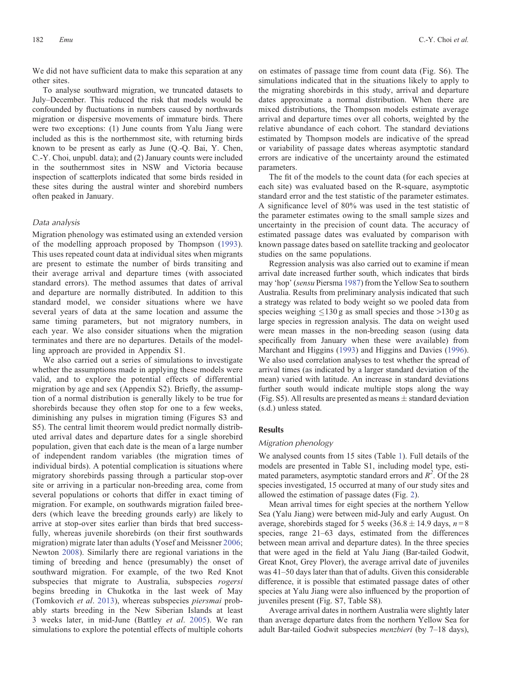We did not have sufficient data to make this separation at any other sites.

To analyse southward migration, we truncated datasets to July–December. This reduced the risk that models would be confounded by fluctuations in numbers caused by northwards migration or dispersive movements of immature birds. There were two exceptions: (1) June counts from Yalu Jiang were included as this is the northernmost site, with returning birds known to be present as early as June (Q.-Q. Bai, Y. Chen, C.-Y. Choi, unpubl. data); and (2) January counts were included in the southernmost sites in NSW and Victoria because inspection of scatterplots indicated that some birds resided in these sites during the austral winter and shorebird numbers often peaked in January.

# *Data analysis*

Migration phenology was estimated using an extended version of the modelling approach proposed by Thompson ([1993](#page-11-0)). This uses repeated count data at individual sites when migrants are present to estimate the number of birds transiting and their average arrival and departure times (with associated standard errors). The method assumes that dates of arrival and departure are normally distributed. In addition to this standard model, we consider situations where we have several years of data at the same location and assume the same timing parameters, but not migratory numbers, in each year. We also consider situations when the migration terminates and there are no departures. Details of the modelling approach are provided in Appendix S1.

We also carried out a series of simulations to investigate whether the assumptions made in applying these models were valid, and to explore the potential effects of differential migration by age and sex (Appendix S2). Briefly, the assumption of a normal distribution is generally likely to be true for shorebirds because they often stop for one to a few weeks, diminishing any pulses in migration timing (Figures S3 and S5). The central limit theorem would predict normally distributed arrival dates and departure dates for a single shorebird population, given that each date is the mean of a large number of independent random variables (the migration times of individual birds). A potential complication is situations where migratory shorebirds passing through a particular stop-over site or arriving in a particular non-breeding area, come from several populations or cohorts that differ in exact timing of migration. For example, on southwards migration failed breeders (which leave the breeding grounds early) are likely to arrive at stop-over sites earlier than birds that bred successfully, whereas juvenile shorebirds (on their first southwards migration) migrate later than adults (Yosef and Meissner [2006](#page-11-0); Newton [2008](#page-10-0)). Similarly there are regional variations in the timing of breeding and hence (presumably) the onset of southward migration. For example, of the two Red Knot subspecies that migrate to Australia, subspecies *rogersi* begins breeding in Chukotka in the last week of May (Tomkovich *et al*. [2013](#page-11-0)), whereas subspecies *piersmai* probably starts breeding in the New Siberian Islands at least 3 weeks later, in mid-June (Battley *et al*. [2005\)](#page-9-0). We ran simulations to explore the potential effects of multiple cohorts

on estimates of passage time from count data (Fig. S6). The simulations indicated that in the situations likely to apply to the migrating shorebirds in this study, arrival and departure dates approximate a normal distribution. When there are mixed distributions, the Thompson models estimate average arrival and departure times over all cohorts, weighted by the relative abundance of each cohort. The standard deviations estimated by Thompson models are indicative of the spread or variability of passage dates whereas asymptotic standard errors are indicative of the uncertainty around the estimated parameters.

The fit of the models to the count data (for each species at each site) was evaluated based on the R-square, asymptotic standard error and the test statistic of the parameter estimates. A significance level of 80% was used in the test statistic of the parameter estimates owing to the small sample sizes and uncertainty in the precision of count data. The accuracy of estimated passage dates was evaluated by comparison with known passage dates based on satellite tracking and geolocator studies on the same populations.

Regression analysis was also carried out to examine if mean arrival date increased further south, which indicates that birds may 'hop' (*sensu* Piersma [1987\)](#page-11-0) from the Yellow Sea to southern Australia. Results from preliminary analysis indicated that such a strategy was related to body weight so we pooled data from species weighing  $\leq 130$  g as small species and those  $>130$  g as large species in regression analysis. The data on weight used were mean masses in the non-breeding season (using data specifically from January when these were available) from Marchant and Higgins [\(1993](#page-10-0)) and Higgins and Davies ([1996](#page-10-0)). We also used correlation analyses to test whether the spread of arrival times (as indicated by a larger standard deviation of the mean) varied with latitude. An increase in standard deviations further south would indicate multiple stops along the way (Fig. S5). All results are presented as means  $\pm$  standard deviation (s.d.) unless stated.

# **Results**

## *Migration phenology*

We analysed counts from 15 sites (Table [1](#page-3-0)). Full details of the models are presented in Table S1, including model type, estimated parameters, asymptotic standard errors and  $R^2$ . Of the 28 species investigated, 15 occurred at many of our study sites and allowed the estimation of passage dates (Fig. [2](#page-5-0)).

Mean arrival times for eight species at the northern Yellow Sea (Yalu Jiang) were between mid-July and early August. On average, shorebirds staged for 5 weeks  $(36.8 \pm 14.9 \text{ days}, n=8$ species, range 21–63 days, estimated from the differences between mean arrival and departure dates). In the three species that were aged in the field at Yalu Jiang (Bar-tailed Godwit, Great Knot, Grey Plover), the average arrival date of juveniles was 41–50 days later than that of adults. Given this considerable difference, it is possible that estimated passage dates of other species at Yalu Jiang were also influenced by the proportion of juveniles present (Fig. S7, Table S8).

Average arrival dates in northern Australia were slightly later than average departure dates from the northern Yellow Sea for adult Bar-tailed Godwit subspecies *menzbieri* (by 7–18 days),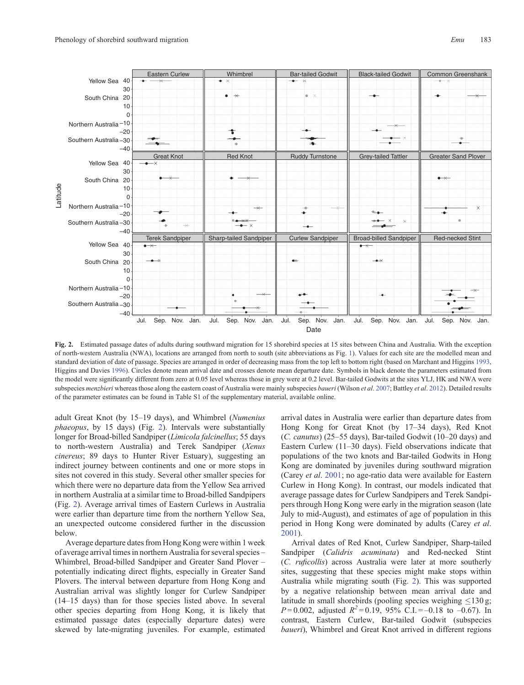<span id="page-5-0"></span>

**Fig. 2.** Estimated passage dates of adults during southward migration for 15 shorebird species at 15 sites between China and Australia. With the exception of north-western Australia (NWA), locations are arranged from north to south (site abbreviations as Fig. [1](#page-2-0)). Values for each site are the modelled mean and standard deviation of date of passage. Species are arranged in order of decreasing mass from the top left to bottom right (based on Marchant and Higgins [1993](#page-10-0), Higgins and Davies [1996\)](#page-10-0). Circles denote mean arrival date and crosses denote mean departure date. Symbols in black denote the parameters estimated from the model were significantly different from zero at 0.05 level whereas those in grey were at 0.2 level. Bar-tailed Godwits at the sites YLJ, HK and NWA were subspecies *menzbieri* whereas those along the eastern coast of Australia were mainly subspecies *baueri* (Wilson *et al*. [2007](#page-11-0); Battley *et al*. [2012\)](#page-9-0). Detailed results of the parameter estimates can be found in Table S1 of the supplementary material, available online.

adult Great Knot (by 15–19 days), and Whimbrel (*Numenius phaeopus*, by 15 days) (Fig. 2). Intervals were substantially longer for Broad-billed Sandpiper (*Limicola falcinellus*; 55 days to north-western Australia) and Terek Sandpiper (*Xenus cinereus*; 89 days to Hunter River Estuary), suggesting an indirect journey between continents and one or more stops in sites not covered in this study. Several other smaller species for which there were no departure data from the Yellow Sea arrived in northern Australia at a similar time to Broad-billed Sandpipers (Fig. 2). Average arrival times of Eastern Curlews in Australia were earlier than departure time from the northern Yellow Sea, an unexpected outcome considered further in the discussion below.

Average departure dates from Hong Kong were within 1 week of average arrival times in northern Australia for several species – Whimbrel, Broad-billed Sandpiper and Greater Sand Plover – potentially indicating direct flights, especially in Greater Sand Plovers. The interval between departure from Hong Kong and Australian arrival was slightly longer for Curlew Sandpiper (14–15 days) than for those species listed above. In several other species departing from Hong Kong, it is likely that estimated passage dates (especially departure dates) were skewed by late-migrating juveniles. For example, estimated

arrival dates in Australia were earlier than departure dates from Hong Kong for Great Knot (by 17–34 days), Red Knot (*C. canutus*) (25–55 days), Bar-tailed Godwit (10–20 days) and Eastern Curlew (11–30 days). Field observations indicate that populations of the two knots and Bar-tailed Godwits in Hong Kong are dominated by juveniles during southward migration (Carey *et al*. [2001](#page-10-0); no age-ratio data were available for Eastern Curlew in Hong Kong). In contrast, our models indicated that average passage dates for Curlew Sandpipers and Terek Sandpipers through Hong Kong were early in the migration season (late July to mid-August), and estimates of age of population in this period in Hong Kong were dominated by adults (Carey *et al*. [2001](#page-10-0)).

Arrival dates of Red Knot, Curlew Sandpiper, Sharp-tailed Sandpiper (*Calidris acuminata*) and Red-necked Stint (*C. ruficollis*) across Australia were later at more southerly sites, suggesting that these species might make stops within Australia while migrating south (Fig. 2). This was supported by a negative relationship between mean arrival date and latitude in small shorebirds (pooling species weighing  $\leq 130$  g; *P* = 0.002, adjusted  $R^2$  = 0.19, 95% C.I. = -0.18 to -0.67). In contrast, Eastern Curlew, Bar-tailed Godwit (subspecies *baueri*), Whimbrel and Great Knot arrived in different regions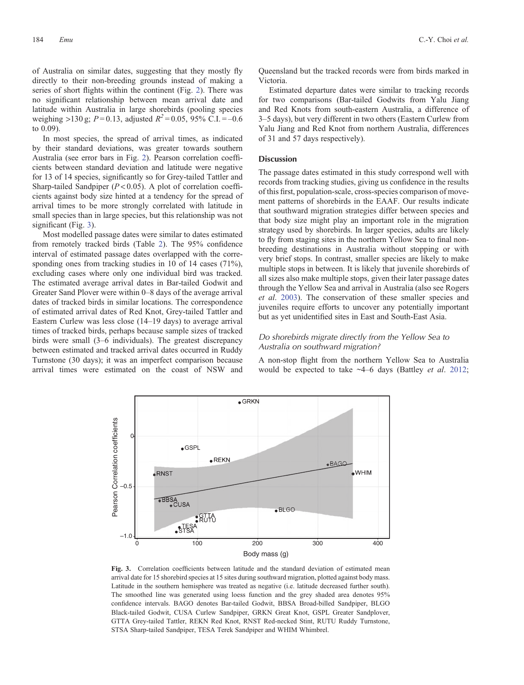In most species, the spread of arrival times, as indicated by their standard deviations, was greater towards southern Australia (see error bars in Fig. [2](#page-5-0)). Pearson correlation coefficients between standard deviation and latitude were negative for 13 of 14 species, significantly so for Grey-tailed Tattler and Sharp-tailed Sandpiper (*P* < 0.05). A plot of correlation coefficients against body size hinted at a tendency for the spread of arrival times to be more strongly correlated with latitude in small species than in large species, but this relationship was not significant (Fig. 3).

Most modelled passage dates were similar to dates estimated from remotely tracked birds (Table [2\)](#page-7-0). The 95% confidence interval of estimated passage dates overlapped with the corresponding ones from tracking studies in 10 of 14 cases (71%), excluding cases where only one individual bird was tracked. The estimated average arrival dates in Bar-tailed Godwit and Greater Sand Plover were within 0–8 days of the average arrival dates of tracked birds in similar locations. The correspondence of estimated arrival dates of Red Knot, Grey-tailed Tattler and Eastern Curlew was less close (14–19 days) to average arrival times of tracked birds, perhaps because sample sizes of tracked birds were small (3–6 individuals). The greatest discrepancy between estimated and tracked arrival dates occurred in Ruddy Turnstone (30 days); it was an imperfect comparison because arrival times were estimated on the coast of NSW and Queensland but the tracked records were from birds marked in Victoria.

Estimated departure dates were similar to tracking records for two comparisons (Bar-tailed Godwits from Yalu Jiang and Red Knots from south-eastern Australia, a difference of 3–5 days), but very different in two others (Eastern Curlew from Yalu Jiang and Red Knot from northern Australia, differences of 31 and 57 days respectively).

#### **Discussion**

The passage dates estimated in this study correspond well with records from tracking studies, giving us confidence in the results of this first, population-scale, cross-species comparison of movement patterns of shorebirds in the EAAF. Our results indicate that southward migration strategies differ between species and that body size might play an important role in the migration strategy used by shorebirds. In larger species, adults are likely to fly from staging sites in the northern Yellow Sea to final nonbreeding destinations in Australia without stopping or with very brief stops. In contrast, smaller species are likely to make multiple stops in between. It is likely that juvenile shorebirds of all sizes also make multiple stops, given their later passage dates through the Yellow Sea and arrival in Australia (also see Rogers *et al*. [2003](#page-11-0)). The conservation of these smaller species and juveniles require efforts to uncover any potentially important but as yet unidentified sites in East and South-East Asia.

## *Do shorebirds migrate directly from the Yellow Sea to Australia on southward migration?*

A non-stop flight from the northern Yellow Sea to Australia would be expected to take ~4–6 days (Battley *et al*. [2012](#page-9-0);



**Fig. 3.** Correlation coefficients between latitude and the standard deviation of estimated mean arrival date for 15 shorebird species at 15 sites during southward migration, plotted against body mass. Latitude in the southern hemisphere was treated as negative (i.e. latitude decreased further south). The smoothed line was generated using loess function and the grey shaded area denotes 95% confidence intervals. BAGO denotes Bar-tailed Godwit, BBSA Broad-billed Sandpiper, BLGO Black-tailed Godwit, CUSA Curlew Sandpiper, GRKN Great Knot, GSPL Greater Sandplover, GTTA Grey-tailed Tattler, REKN Red Knot, RNST Red-necked Stint, RUTU Ruddy Turnstone, STSA Sharp-tailed Sandpiper, TESA Terek Sandpiper and WHIM Whimbrel.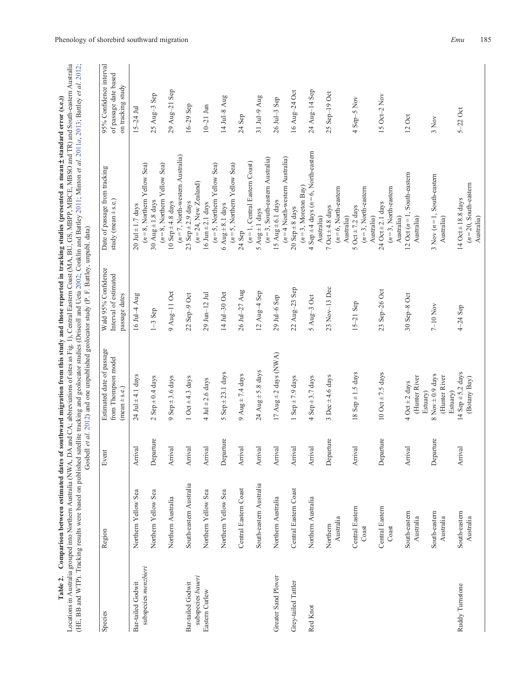<span id="page-7-0"></span>

|                                           |                            |                         | Gosbell et al. 2012) and one unpublished geolocator study $(P. F. Battley, unpubl. data)$ |                                                               |                                                                                                                        |                                                                       |
|-------------------------------------------|----------------------------|-------------------------|-------------------------------------------------------------------------------------------|---------------------------------------------------------------|------------------------------------------------------------------------------------------------------------------------|-----------------------------------------------------------------------|
| Species                                   | Region                     | Event                   | Estimated date of passage<br>from Thompson model<br>$(mean \pm s.e.)$                     | Wald 95% Confidence<br>Interval of estimated<br>passage dates | Date of passage from tracking<br>study (mean $\pm$ s.e.)                                                               | 95% Confidence interval<br>of passage date based<br>on tracking study |
| subspecies menzbieri<br>Bar-tailed Godwit | Northem Yellow Sea         | Arrival                 | 24 Jul $\pm$ 4.1 days                                                                     | 16 Jul-4 $\text{Aug}$                                         | $(n = 8, \text{ Northern Yellow Sea})$<br>$20$ Jul $\pm$ 1.7 days                                                      | $15 - 24$ Jul                                                         |
|                                           | Northern Yellow Sea        | Departure               | $2$ Sep $\pm$ 0.4 days                                                                    | $1-3$ Sep                                                     | $(n = 8, \text{ Northern Yellow Sea})$<br>$30 \text{ Aug} \pm 1.8 \text{ days}$                                        | 25 Aug-3 Sep                                                          |
|                                           | Northem Australia          | $\overline{a}$<br>Arriv | $9$ Sep $\pm 3.6$ days                                                                    | 9 Aug-11 Oct                                                  | $(n = 7, \text{North-western Australia})$<br>$10$ Sep $\pm 4.8$ days                                                   | 29 Aug-21 Sep                                                         |
| subspecies baueri<br>Bar-tailed Godwit    | South-eastern Australia    | Arrival                 | 1 Oct±4.3 days                                                                            | $22$ Sep-9 Oct                                                | $(n=24, New Zealand)$<br>23 Sep $\pm$ 2.9 days                                                                         | $16-29$ Sep                                                           |
| Eastern Curlew                            | Northern Yellow Sea        | Arrival                 | $4 \text{ Jul} \pm 2.6 \text{ days}$                                                      | $29$ Jun $-12$ Jul                                            | $16$ Jun $\pm$ 2.1 days                                                                                                | $10-21$ Jun                                                           |
|                                           | Northern Yellow Sea        | Departure               | $5$ Sep $\pm$ 23.1 days                                                                   | 14 Jul-30 Oct                                                 | $(n = 5, \text{ Northern Yellow Sea})$<br>$(n=5, \text{ Northern Yellow Sea})$<br>$6 \text{ Aug} \pm 8.1 \text{ days}$ | 14 Jul-8 Aug                                                          |
|                                           | Central Eastern Coast      | Arrival                 | 9 Aug $\pm$ 7.4 days                                                                      | 26 Jul-27 Aug                                                 | 24 Sep                                                                                                                 | 24 Sep                                                                |
|                                           | South-eastern Australia    | Arrival                 | $24$ Aug $\pm$ 5.8 days                                                                   | $12 \text{ Aug} - 4 \text{ Sep}$                              | $(n=1,$ Central Eastern Coast)<br>5 Aug $\pm$ 1 days                                                                   | 31 Jul-9 Aug                                                          |
| Greater Sand Plover                       | Northern Australia         | Arrival                 | 17 Aug $\pm$ 2 days (NWA)                                                                 | 29 Jul-6 Sep                                                  | $(n=3,$ South-eastern Australia)<br>15 Aug $\pm$ 6.1 days                                                              | 26 Jul-3 Sep                                                          |
| Grey-tailed Tattler                       | Central Eastern Coast      | Arrival                 | $1$ Sep $\pm$ 7.9 days                                                                    | 22 Aug-23 Sep                                                 | $(n = 4$ North-western Australia)<br>$(n=3,$ Moreton Bay)<br>$20$ Sep $\pm 8$ days                                     | 16 Aug-24 Oct                                                         |
| Red Knot                                  | Northern Australia         | Arrival                 | $4$ Sep $\pm$ 3.7 days                                                                    | 5 Aug-3 Oct                                                   | $4$ Sep $\pm$ 4 days ( $n = 6$ , North-eastern<br>Australia)                                                           | 24 Aug-14 Sep                                                         |
|                                           | Australia<br>Northem       | Departure               | 3 Dec $\pm$ 4.6 days                                                                      | 23 Nov-13 Dec                                                 | $(n=6, North-easterm)$<br>7 Oct $\pm$ 4.8 days                                                                         | 25 Sep-19 Oct                                                         |
|                                           | Central Eastern<br>Coast   | Arrival                 | $18$ Sep $\pm 1.5$ days                                                                   | $15-21$ Sep                                                   | $(n=3, \text{North-easterm})$<br>5 Oct $\pm$ 7.2 days<br>Australia)<br>Australia)                                      | 4 Sep-5 Nov                                                           |
|                                           | Central Eastern<br>Coast   | Departure               | $10 \text{ Oct} \pm 7.5 \text{ days}$                                                     | $23$ Sep-26 Oct                                               | $(n=3, \text{North-easterm})$<br>24 Oct $\pm$ 2.1 days<br>Australia)                                                   | 15 Oct-2 Nov                                                          |
|                                           | South-eastern<br>Australia | Arrival                 | (Hunter River<br>$4 Oct \pm 2 days$<br>Estuary)                                           | 30 Sep-8 Oct                                                  | 12 Oct $(n = 1,$ South-eastern<br>Australia)                                                                           | $12$ Oct                                                              |
|                                           | South-eastern<br>Australia | Departure               | 8 $\text{Nov} \pm 0.9$ days<br>(Hunter River<br>Estuary)                                  | 7–10 Nov                                                      | 3 Nov $(n=1,$ South-eastern<br>Australia)                                                                              | 3 Nov                                                                 |
| Ruddy Turnstone                           | South-eastern<br>Australia | Arrival                 | $14$ Sep $\pm$ 5.2 days<br>(Botany Bay)                                                   | $4-24$ Sep                                                    | $(n=20,$ South-eastern<br>$14$ Oct $\pm$ 18.8 days<br>Australia)                                                       | $5-22$ Oct                                                            |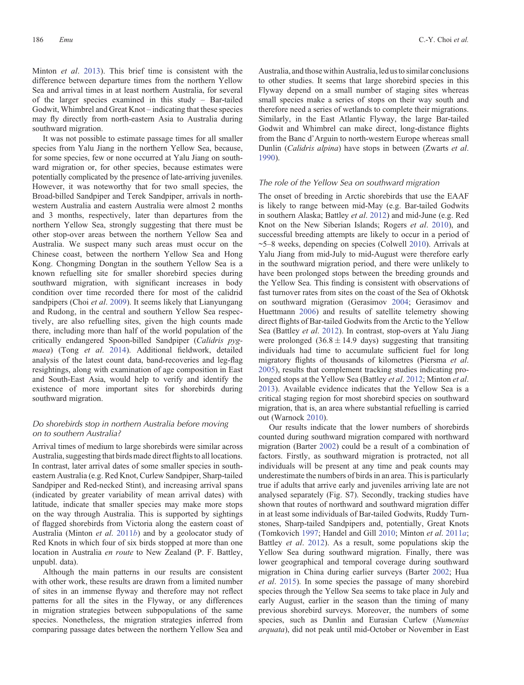Minton *et al*. [2013](#page-10-0)). This brief time is consistent with the difference between departure times from the northern Yellow Sea and arrival times in at least northern Australia, for several of the larger species examined in this study – Bar-tailed Godwit, Whimbrel and Great Knot – indicating that these species may fly directly from north-eastern Asia to Australia during southward migration.

It was not possible to estimate passage times for all smaller species from Yalu Jiang in the northern Yellow Sea, because, for some species, few or none occurred at Yalu Jiang on southward migration or, for other species, because estimates were potentially complicated by the presence of late-arriving juveniles. However, it was noteworthy that for two small species, the Broad-billed Sandpiper and Terek Sandpiper, arrivals in northwestern Australia and eastern Australia were almost 2 months and 3 months, respectively, later than departures from the northern Yellow Sea, strongly suggesting that there must be other stop-over areas between the northern Yellow Sea and Australia. We suspect many such areas must occur on the Chinese coast, between the northern Yellow Sea and Hong Kong. Chongming Dongtan in the southern Yellow Sea is a known refuelling site for smaller shorebird species during southward migration, with significant increases in body condition over time recorded there for most of the calidrid sandpipers (Choi *et al*. [2009](#page-10-0)). It seems likely that Lianyungang and Rudong, in the central and southern Yellow Sea respectively, are also refuelling sites, given the high counts made there, including more than half of the world population of the critically endangered Spoon-billed Sandpiper (*Calidris pygmaea*) (Tong *et al*. [2014\)](#page-11-0). Additional fieldwork, detailed analysis of the latest count data, band-recoveries and leg-flag resightings, along with examination of age composition in East and South-East Asia, would help to verify and identify the existence of more important sites for shorebirds during southward migration.

## *Do shorebirds stop in northern Australia before moving on to southern Australia?*

Arrival times of medium to large shorebirds were similar across Australia, suggesting that birds made direct flights to all locations. In contrast, later arrival dates of some smaller species in southeastern Australia (e.g. Red Knot, Curlew Sandpiper, Sharp-tailed Sandpiper and Red-necked Stint), and increasing arrival spans (indicated by greater variability of mean arrival dates) with latitude, indicate that smaller species may make more stops on the way through Australia. This is supported by sightings of flagged shorebirds from Victoria along the eastern coast of Australia (Minton *et al*. [2011](#page-10-0)*b*) and by a geolocator study of Red Knots in which four of six birds stopped at more than one location in Australia *en route* to New Zealand (P. F. Battley, unpubl. data).

Although the main patterns in our results are consistent with other work, these results are drawn from a limited number of sites in an immense flyway and therefore may not reflect patterns for all the sites in the Flyway, or any differences in migration strategies between subpopulations of the same species. Nonetheless, the migration strategies inferred from comparing passage dates between the northern Yellow Sea and

Australia, and those within Australia, led usto similar conclusions to other studies. It seems that large shorebird species in this Flyway depend on a small number of staging sites whereas small species make a series of stops on their way south and therefore need a series of wetlands to complete their migrations. Similarly, in the East Atlantic Flyway, the large Bar-tailed Godwit and Whimbrel can make direct, long-distance flights from the Banc d'Arguin to north-western Europe whereas small Dunlin (*Calidris alpina*) have stops in between (Zwarts *et al*. [1990\)](#page-11-0).

#### *The role of the Yellow Sea on southward migration*

The onset of breeding in Arctic shorebirds that use the EAAF is likely to range between mid-May (e.g. Bar-tailed Godwits in southern Alaska; Battley *et al*. [2012](#page-9-0)) and mid-June (e.g. Red Knot on the New Siberian Islands; Rogers *et al*. [2010\)](#page-11-0), and successful breeding attempts are likely to occur in a period of  $~5-8$  weeks, depending on species (Colwell [2010](#page-10-0)). Arrivals at Yalu Jiang from mid-July to mid-August were therefore early in the southward migration period, and there were unlikely to have been prolonged stops between the breeding grounds and the Yellow Sea. This finding is consistent with observations of fast turnover rates from sites on the coast of the Sea of Okhotsk on southward migration (Gerasimov [2004](#page-10-0); Gerasimov and Huettmann [2006](#page-10-0)) and results of satellite telemetry showing direct flights of Bar-tailed Godwits from the Arctic to the Yellow Sea (Battley *et al*. [2012](#page-9-0)). In contrast, stop-overs at Yalu Jiang were prolonged  $(36.8 \pm 14.9$  days) suggesting that transiting individuals had time to accumulate sufficient fuel for long migratory flights of thousands of kilometres (Piersma *et al*. [2005\)](#page-11-0), results that complement tracking studies indicating prolonged stops at the Yellow Sea (Battley *et al*. [2012;](#page-9-0) Minton *et al*. [2013\)](#page-10-0). Available evidence indicates that the Yellow Sea is a critical staging region for most shorebird species on southward migration, that is, an area where substantial refuelling is carried out (Warnock [2010](#page-11-0)).

Our results indicate that the lower numbers of shorebirds counted during southward migration compared with northward migration (Barter [2002](#page-9-0)) could be a result of a combination of factors. Firstly, as southward migration is protracted, not all individuals will be present at any time and peak counts may underestimate the numbers of birds in an area. This is particularly true if adults that arrive early and juveniles arriving late are not analysed separately (Fig. S7). Secondly, tracking studies have shown that routes of northward and southward migration differ in at least some individuals of Bar-tailed Godwits, Ruddy Turnstones, Sharp-tailed Sandpipers and, potentially, Great Knots (Tomkovich [1997;](#page-11-0) Handel and Gill [2010](#page-10-0); Minton *et al*. [2011](#page-10-0)*a*; Battley *et al*. [2012\)](#page-9-0). As a result, some populations skip the Yellow Sea during southward migration. Finally, there was lower geographical and temporal coverage during southward migration in China during earlier surveys (Barter [2002;](#page-9-0) Hua *et al*. [2015\)](#page-10-0). In some species the passage of many shorebird species through the Yellow Sea seems to take place in July and early August, earlier in the season than the timing of many previous shorebird surveys. Moreover, the numbers of some species, such as Dunlin and Eurasian Curlew (*Numenius arquata*), did not peak until mid-October or November in East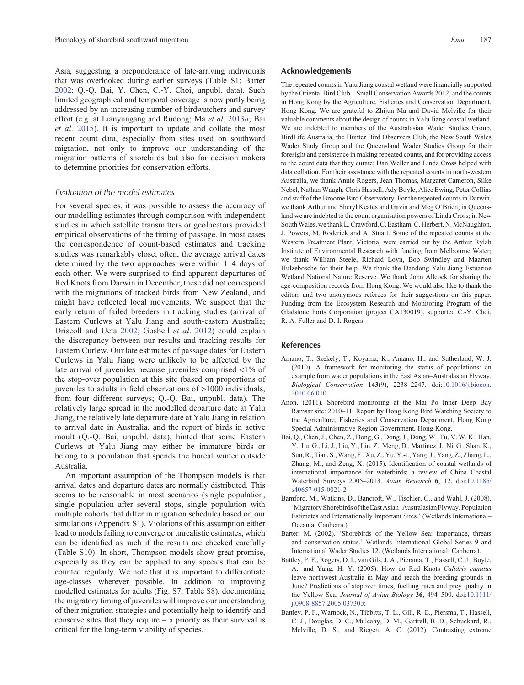<span id="page-9-0"></span>Asia, suggesting a preponderance of late-arriving individuals that was overlooked during earlier surveys (Table S1; Barter 2002; Q.-Q. Bai, Y. Chen, C.-Y. Choi, unpubl. data). Such limited geographical and temporal coverage is now partly being addressed by an increasing number of birdwatchers and survey effort (e.g. at Lianyungang and Rudong; Ma *et al*. [2013](#page-10-0)*a*; Bai *et al*. 2015). It is important to update and collate the most recent count data, especially from sites used on southward migration, not only to improve our understanding of the migration patterns of shorebirds but also for decision makers to determine priorities for conservation efforts.

#### *Evaluation of the model estimates*

For several species, it was possible to assess the accuracy of our modelling estimates through comparison with independent studies in which satellite transmitters or geolocators provided empirical observations of the timing of passage. In most cases the correspondence of count-based estimates and tracking studies was remarkably close; often, the average arrival dates determined by the two approaches were within 1–4 days of each other. We were surprised to find apparent departures of Red Knots from Darwin in December; these did not correspond with the migrations of tracked birds from New Zealand, and might have reflected local movements. We suspect that the early return of failed breeders in tracking studies (arrival of Eastern Curlews at Yalu Jiang and south-eastern Australia; Driscoll and Ueta [2002](#page-10-0); Gosbell *et al*. [2012\)](#page-10-0) could explain the discrepancy between our results and tracking results for Eastern Curlew. Our late estimates of passage dates for Eastern Curlews in Yalu Jiang were unlikely to be affected by the late arrival of juveniles because juveniles comprised <1% of the stop-over population at this site (based on proportions of juveniles to adults in field observations of >1000 individuals, from four different surveys; Q.-Q. Bai, unpubl. data). The relatively large spread in the modelled departure date at Yalu Jiang, the relatively late departure date at Yalu Jiang in relation to arrival date in Australia, and the report of birds in active moult (Q.-Q. Bai, unpubl. data), hinted that some Eastern Curlews at Yalu Jiang may either be immature birds or belong to a population that spends the boreal winter outside Australia.

An important assumption of the Thompson models is that arrival dates and departure dates are normally distributed. This seems to be reasonable in most scenarios (single population, single population after several stops, single population with multiple cohorts that differ in migration schedule) based on our simulations (Appendix S1). Violations of this assumption either lead to models failing to converge or unrealistic estimates, which can be identified as such if the results are checked carefully (Table S10). In short, Thompson models show great promise, especially as they can be applied to any species that can be counted regularly. We note that it is important to differentiate age-classes wherever possible. In addition to improving modelled estimates for adults (Fig. S7, Table S8), documenting the migratory timing of juveniles will improve our understanding of their migration strategies and potentially help to identify and conserve sites that they require – a priority as their survival is critical for the long-term viability of species.

#### **Acknowledgements**

The repeated counts in Yalu Jiang coastal wetland were financially supported by the Oriental Bird Club – Small Conservation Awards 2012, and the counts in Hong Kong by the Agriculture, Fisheries and Conservation Department, Hong Kong. We are grateful to Zhijun Ma and David Melville for their valuable comments about the design of counts in Yalu Jiang coastal wetland. We are indebted to members of the Australasian Wader Studies Group, BirdLife Australia, the Hunter Bird Observers Club, the New South Wales Wader Study Group and the Queensland Wader Studies Group for their foresight and persistence in making repeated counts, and for providing access to the count data that they curate; Dan Weller and Linda Cross helped with data collation. For their assistance with the repeated counts in north-western Australia, we thank Annie Rogers, Jean Thomas, Margaret Cameron, Silke Nebel, Nathan Waugh, Chris Hassell, Ady Boyle, Alice Ewing, Peter Collins and staff of the Broome Bird Observatory. For the repeated counts in Darwin, we thank Arthur and Sheryl Keates and Gavin and Meg O'Brien; in Queensland we are indebted to the count organisation powers of Linda Cross; in New South Wales, we thank L. Crawford, C. Eastham, C. Herbert, N. McNaughton, J. Powers, M. Roderick and A. Stuart. Some of the repeated counts at the Western Treatment Plant, Victoria, were carried out by the Arthur Rylah Institute of Environmental Research with funding from Melbourne Water; we thank William Steele, Richard Loyn, Bob Swindley and Maarten Hulzebosche for their help. We thank the Dandong Yalu Jiang Estuarine Wetland National Nature Reserve. We thank John Allcock for sharing the age-composition records from Hong Kong. We would also like to thank the editors and two anonymous referees for their suggestions on this paper. Funding from the Ecosystem Research and Monitoring Program of the Gladstone Ports Corporation (project CA130019), supported C.-Y. Choi, R. A. Fuller and D. I. Rogers.

#### **References**

- Amano, T., Szekely, T., Koyama, K., Amano, H., and Sutherland, W. J. (2010). A framework for monitoring the status of populations: an example from wader populations in the East Asian–Australasian Flyway. *Biological Conservation* **143**(9), 2238–2247. doi:[10.1016/j.biocon.](dx.doi.org/10.1016/j.biocon.2010.06.010) [2010.06.010](dx.doi.org/10.1016/j.biocon.2010.06.010)
- Anon. (2011). Shorebird monitoring at the Mai Po Inner Deep Bay Ramsar site: 2010–11. Report by Hong Kong Bird Watching Society to the Agriculture, Fisheries and Conservation Department, Hong Kong Special Administrative Region Government, Hong Kong.
- Bai, Q., Chen, J., Chen, Z., Dong, G., Dong, J., Dong, W., Fu, V. W. K., Han, Y., Lu, G., Li, J., Liu, Y., Lin, Z., Meng, D., Martinez, J., Ni, G., Shan, K., Sun,R., Tian, S.,Wang, F., Xu, Z., Yu, Y.-t., Yang, J., Yang, Z., Zhang, L., Zhang, M., and Zeng, X. (2015). Identification of coastal wetlands of international importance for waterbirds: a review of China Coastal Waterbird Surveys 2005–2013. *Avian Research* **6**, 12. doi:[10.1186/](dx.doi.org/10.1186/s40657-015-0021-2) [s40657-015-0021-2](dx.doi.org/10.1186/s40657-015-0021-2)
- Bamford, M., Watkins, D., Bancroft, W., Tischler, G., and Wahl, J. (2008). 'Migratory Shorebirds ofthe East Asian–Australasian Flyway. Population Estimates and Internationally Important Sites.' (Wetlands International– Oceania: Canberra.)
- Barter, M. (2002). 'Shorebirds of the Yellow Sea: importance, threats and conservation status.' Wetlands International Global Series 9 and International Wader Studies 12. (Wetlands International: Canberra).
- Battley, P. F., Rogers, D. I., van Gils, J. A., Piersma, T., Hassell, C. J., Boyle, A., and Yang, H. Y. (2005). How do Red Knots *Calidris canutus* leave northwest Australia in May and reach the breeding grounds in June? Predictions of stopover times, fuelling rates and prey quality in the Yellow Sea. *Journal of Avian Biology* **36**, 494–500. doi:[10.1111/](dx.doi.org/10.1111/j.0908-8857.2005.03730.x) [j.0908-8857.2005.03730.x](dx.doi.org/10.1111/j.0908-8857.2005.03730.x)
- Battley, P. F., Warnock, N., Tibbitts, T. L., Gill, R. E., Piersma, T., Hassell, C. J., Douglas, D. C., Mulcahy, D. M., Gartrell, B. D., Schuckard, R., Melville, D. S., and Riegen, A. C. (2012). Contrasting extreme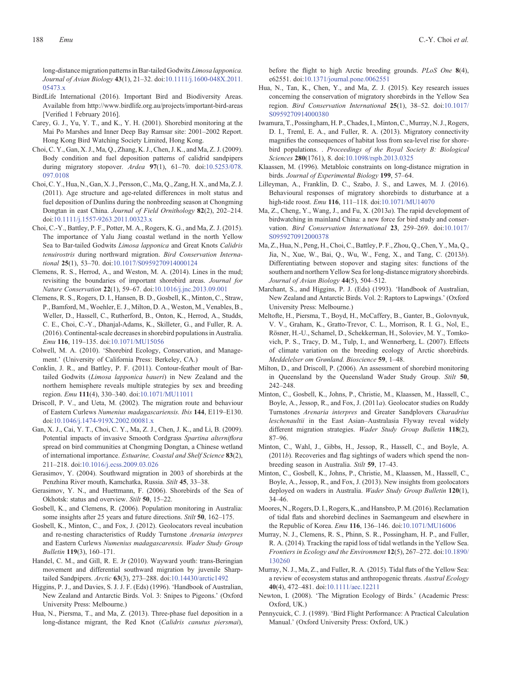<span id="page-10-0"></span>long-distance migration patterns in Bar-tailed Godwits *Limosa lapponica. Journal of Avian Biology* **43**(1), 21–32. doi:[10.1111/j.1600-048X.2011.](dx.doi.org/10.1111/j.1600-048X.2011.05473.x)

- BirdLife International (2016). Important Bird and Biodiversity Areas. Available from<http://www.birdlife.org.au/projects/important-bird-areas> [Verified 1 February 2016].
- Carey, G. J., Yu, Y. T., and K., Y. H. (2001). Shorebird monitoring at the Mai Po Marshes and Inner Deep Bay Ramsar site: 2001–2002 Report. Hong Kong Bird Watching Society Limited, Hong Kong.
- Choi, C. Y., Gan, X. J., Ma, Q., Zhang, K. J., Chen, J. K., and Ma, Z. J. (2009). Body condition and fuel deposition patterns of calidrid sandpipers during migratory stopover. *Ardea* **97**(1), 61–70. doi[:10.5253/078.](dx.doi.org/10.5253/078.097.0108) [097.0108](dx.doi.org/10.5253/078.097.0108)
- Choi, C. Y., Hua, N., Gan, X. J., Persson, C., Ma, Q., Zang, H. X., and Ma, Z. J. (2011). Age structure and age-related differences in molt status and fuel deposition of Dunlins during the nonbreeding season at Chongming Dongtan in east China. *Journal of Field Ornithology* **82**(2), 202–214. doi:[10.1111/j.1557-9263.2011.00323.x](dx.doi.org/10.1111/j.1557-9263.2011.00323.x)
- Choi, C.-Y., Battley, P. F., Potter, M. A., Rogers, K. G., and Ma, Z. J. (2015). The importance of Yalu Jiang coastal wetland in the north Yellow Sea to Bar-tailed Godwits *Limosa lapponica* and Great Knots *Calidris tenuirostris* during northward migration. *Bird Conservation International* **25**(1), 53–70. doi:[10.1017/S0959270914000124](dx.doi.org/10.1017/S0959270914000124)
- Clemens, R. S., Herrod, A., and Weston, M. A. (2014). Lines in the mud; revisiting the boundaries of important shorebird areas. *Journal for Nature Conservation* **22**(1), 59–67. doi[:10.1016/j.jnc.2013.09.001](dx.doi.org/10.1016/j.jnc.2013.09.001)
- Clemens, R. S., Rogers, D. I., Hansen, B. D., Gosbell, K., Minton, C., Straw, P., Bamford, M., Woehler, E. J., Milton, D. A., Weston, M., Venables, B., Weller, D., Hassell, C., Rutherford, B., Onton, K., Herrod, A., Studds, C. E., Choi, C.-Y., Dhanjal-Adams, K., Skilleter, G., and Fuller, R. A. (2016). Continental-scale decreases in shorebird populations in Australia. *Emu* **116**, 119–135. doi:[10.1071/MU15056](dx.doi.org/10.1071/MU15056)
- Colwell, M. A. (2010). 'Shorebird Ecology, Conservation, and Management.' (University of California Press: Berkeley, CA.)
- Conklin, J. R., and Battley, P. F. (2011). Contour-feather moult of Bartailed Godwits (*Limosa lapponica baueri*) in New Zealand and the northern hemisphere reveals multiple strategies by sex and breeding region. *Emu* **111**(4), 330–340. doi[:10.1071/MU11011](dx.doi.org/10.1071/MU11011)
- Driscoll, P. V., and Ueta, M. (2002). The migration route and behaviour of Eastern Curlews *Numenius madagascariensis. Ibis* **144**, E119–E130. doi:[10.1046/j.1474-919X.2002.00081.x](dx.doi.org/10.1046/j.1474-919X.2002.00081.x)
- Gan, X. J., Cai, Y. T., Choi, C. Y., Ma, Z. J., Chen, J. K., and Li, B. (2009). Potential impacts of invasive Smooth Cordgrass *Spartina alterniflora* spread on bird communities at Chongming Dongtan, a Chinese wetland of international importance. *Estuarine, Coastal and Shelf Science* **83**(2), 211–218. doi[:10.1016/j.ecss.2009.03.026](dx.doi.org/10.1016/j.ecss.2009.03.026)
- Gerasimov, Y. (2004). Southward migration in 2003 of shorebirds at the Penzhina River mouth, Kamchatka, Russia. *Stilt* **45**, 33–38.
- Gerasimov, Y. N., and Huettmann, F. (2006). Shorebirds of the Sea of Okhotsk: status and overview. *Stilt* **50**, 15–22.
- Gosbell, K., and Clemens, R. (2006). Population monitoring in Australia: some insights after 25 years and future directions. *Stilt* **50**, 162–175.
- Gosbell, K., Minton, C., and Fox, J. (2012). Geolocators reveal incubation and re-nesting characteristics of Ruddy Turnstone *Arenaria interpres* and Eastern Curlews *Numenius madagascarensis. Wader Study Group Bulletin* **119**(3), 160–171.
- Handel, C. M., and Gill, R. E. Jr (2010). Wayward youth: trans-Beringian movement and differential southward migration by juvenile Sharptailed Sandpipers. *Arctic* **63**(3), 273–288. doi[:10.14430/arctic1492](dx.doi.org/10.14430/arctic1492)
- Higgins, P. J., and Davies, S. J. J. F. (Eds) (1996). 'Handbook of Australian, New Zealand and Antarctic Birds. Vol. 3: Snipes to Pigeons.' (Oxford University Press: Melbourne.)
- Hua, N., Piersma, T., and Ma, Z. (2013). Three-phase fuel deposition in a long-distance migrant, the Red Knot (*Calidris canutus piersmai*),

before the flight to high Arctic breeding grounds. *PLoS One* **8**(4), e62551. doi:[10.1371/journal.pone.0062551](dx.doi.org/10.1371/journal.pone.0062551)

- Hua, N., Tan, K., Chen, Y., and Ma, Z. J. (2015). Key research issues concerning the conservation of migratory shorebirds in the Yellow Sea region. *Bird Conservation International* **25**(1), 38–52. doi:[10.1017/](dx.doi.org/10.1017/S0959270914000380) [S0959270914000380](dx.doi.org/10.1017/S0959270914000380)
- Iwamura, T., Possingham, H. P., Chades, I., Minton, C., Murray, N. J., Rogers, D. I., Treml, E. A., and Fuller, R. A. (2013). Migratory connectivity magnifies the consequences of habitat loss from sea-level rise for shorebird populations. . *Proceedings of the Royal Society B: Biological Sciences* **280**(1761), 8. doi:[10.1098/rspb.2013.0325](dx.doi.org/10.1098/rspb.2013.0325)
- Klaassen, M. (1996). Metabloic constraints on long-distance migration in birds. *Journal of Experimental Biology* **199**, 57–64.
- Lilleyman, A., Franklin, D. C., Szabo, J. S., and Lawes, M. J. (2016). Behavioural responses of migratory shorebirds to disturbance at a high-tide roost. *Emu* **116**, 111–118. doi[:10.1071/MU14070](dx.doi.org/10.1071/MU14070)
- Ma, Z., Cheng, Y., Wang, J., and Fu, X. (2013*a*). The rapid development of birdwatching in mainland China: a new force for bird study and conservation. *Bird Conservation International* **23**, 259–269. doi:[10.1017/](dx.doi.org/10.1017/S0959270912000378) [S0959270912000378](dx.doi.org/10.1017/S0959270912000378)
- Ma, Z., Hua, N., Peng, H., Choi, C., Battley, P. F., Zhou, Q., Chen, Y., Ma, Q., Jia, N., Xue, W., Bai, Q., Wu, W., Feng, X., and Tang, C. (2013*b*). Differentiating between stopover and staging sites: functions of the southern and northern Yellow Sea for long-distance migratory shorebirds. *Journal of Avian Biology* **44**(5), 504–512.
- Marchant, S., and Higgins, P. J. (Eds) (1993). 'Handbook of Australian, New Zealand and Antarctic Birds. Vol. 2: Raptors to Lapwings.' (Oxford University Press: Melbourne.)
- Meltofte, H., Piersma, T., Boyd, H., McCaffery, B., Ganter, B., Golovnyuk, V. V., Graham, K., Gratto-Trevor, C. L., Morrison, R. I. G., Nol, E., Rösner, H.-U., Schamel, D., Schekkerman, H., Soloviev, M. Y., Tomkovich, P. S., Tracy, D. M., Tulp, I., and Wennerberg, L. (2007). Effects of climate variation on the breeding ecology of Arctic shorebirds. *Meddelelser om Grønland. Bioscience* **59**, 1–48.
- Milton, D., and Driscoll, P. (2006). An assessment of shorebird monitoring in Queensland by the Queensland Wader Study Group. *Stilt* **50**, 242–248.
- Minton, C., Gosbell, K., Johns, P., Christie, M., Klaassen, M., Hassell, C., Boyle, A., Jessop, R., and Fox, J. (2011*a*). Geolocator studies on Ruddy Turnstones *Arenaria interpres* and Greater Sandplovers *Charadrius leschenaultii* in the East Asian–Australasia Flyway reveal widely different migration strategies. *Wader Study Group Bulletin* **118**(2), 87–96.
- Minton, C., Wahl, J., Gibbs, H., Jessop, R., Hassell, C., and Boyle, A. (2011*b*). Recoveries and flag sightings of waders which spend the nonbreeding season in Australia. *Stilt* **59**, 17–43.
- Minton, C., Gosbell, K., Johns, P., Christie, M., Klaassen, M., Hassell, C., Boyle, A., Jessop, R., and Fox, J. (2013). New insights from geolocators deployed on waders in Australia. *Wader Study Group Bulletin* **120**(1), 34–46.
- Moores, N., Rogers, D. I., Rogers, K., and Hansbro, P. M. (2016). Reclamation of tidal flats and shorebird declines in Saemangeum and elsewhere in the Republic of Korea. *Emu* **116**, 136–146. doi:[10.1071/MU16006](dx.doi.org/10.1071/MU16006)
- Murray, N. J., Clemens, R. S., Phinn, S. R., Possingham, H. P., and Fuller, R. A. (2014). Tracking the rapid loss of tidal wetlands in the Yellow Sea. *Frontiers in Ecology and the Environment* **12**(5), 267–272. doi:[10.1890/](dx.doi.org/10.1890/130260) [130260](dx.doi.org/10.1890/130260)
- Murray, N. J., Ma, Z., and Fuller, R. A. (2015). Tidal flats of the Yellow Sea: a review of ecosystem status and anthropogenic threats. *Austral Ecology* **40**(4), 472–481. doi[:10.1111/aec.12211](dx.doi.org/10.1111/aec.12211)
- Newton, I. (2008). 'The Migration Ecology of Birds.' (Academic Press: Oxford, UK.)
- Pennycuick, C. J. (1989). 'Bird Flight Performance: A Practical Calculation Manual.' (Oxford University Press: Oxford, UK.)

[05473.x](dx.doi.org/10.1111/j.1600-048X.2011.05473.x)